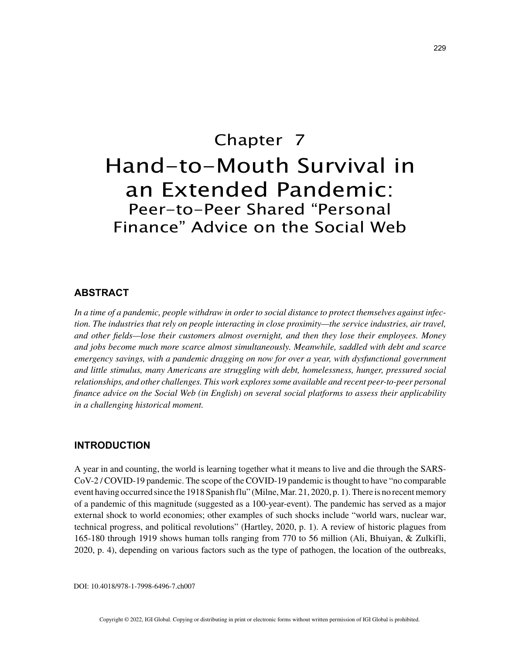# Chapter 7 Hand-to-Mouth Survival in an Extended Pandemic: Peer-to-Peer Shared "Personal Finance" Advice on the Social Web

# **ABSTRACT**

*In a time of a pandemic, people withdraw in order to social distance to protect themselves against infection. The industries that rely on people interacting in close proximity—the service industries, air travel, and other fields—lose their customers almost overnight, and then they lose their employees. Money and jobs become much more scarce almost simultaneously. Meanwhile, saddled with debt and scarce emergency savings, with a pandemic dragging on now for over a year, with dysfunctional government and little stimulus, many Americans are struggling with debt, homelessness, hunger, pressured social relationships, and other challenges. This work explores some available and recent peer-to-peer personal finance advice on the Social Web (in English) on several social platforms to assess their applicability in a challenging historical moment.*

# **INTRODUCTION**

A year in and counting, the world is learning together what it means to live and die through the SARS-CoV-2 / COVID-19 pandemic. The scope of the COVID-19 pandemic is thought to have "no comparable event having occurred since the 1918 Spanish flu" (Milne, Mar. 21, 2020, p. 1). There is no recent memory of a pandemic of this magnitude (suggested as a 100-year-event). The pandemic has served as a major external shock to world economies; other examples of such shocks include "world wars, nuclear war, technical progress, and political revolutions" (Hartley, 2020, p. 1). A review of historic plagues from 165-180 through 1919 shows human tolls ranging from 770 to 56 million (Ali, Bhuiyan, & Zulkifli, 2020, p. 4), depending on various factors such as the type of pathogen, the location of the outbreaks,

DOI: 10.4018/978-1-7998-6496-7.ch007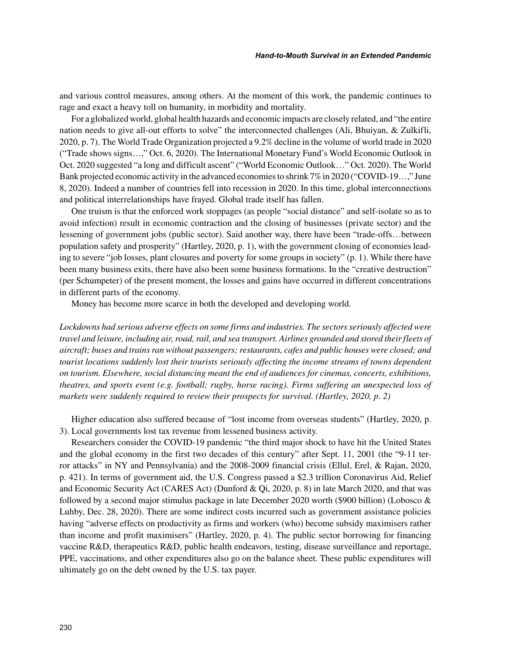and various control measures, among others. At the moment of this work, the pandemic continues to rage and exact a heavy toll on humanity, in morbidity and mortality.

For a globalized world, global health hazards and economic impacts are closely related, and "the entire nation needs to give all-out efforts to solve" the interconnected challenges (Ali, Bhuiyan, & Zulkifli, 2020, p. 7). The World Trade Organization projected a 9.2% decline in the volume of world trade in 2020 ("Trade shows signs…," Oct. 6, 2020). The International Monetary Fund's World Economic Outlook in Oct. 2020 suggested "a long and difficult ascent" ("World Economic Outlook…" Oct. 2020). The World Bank projected economic activity in the advanced economies to shrink 7% in 2020 ("COVID-19…," June 8, 2020). Indeed a number of countries fell into recession in 2020. In this time, global interconnections and political interrelationships have frayed. Global trade itself has fallen.

One truism is that the enforced work stoppages (as people "social distance" and self-isolate so as to avoid infection) result in economic contraction and the closing of businesses (private sector) and the lessening of government jobs (public sector). Said another way, there have been "trade-offs…between population safety and prosperity" (Hartley, 2020, p. 1), with the government closing of economies leading to severe "job losses, plant closures and poverty for some groups in society" (p. 1). While there have been many business exits, there have also been some business formations. In the "creative destruction" (per Schumpeter) of the present moment, the losses and gains have occurred in different concentrations in different parts of the economy.

Money has become more scarce in both the developed and developing world.

*Lockdowns had serious adverse effects on some firms and industries. The sectors seriously affected were travel and leisure, including air, road, rail, and sea transport. Airlines grounded and stored their fleets of aircraft; buses and trains ran without passengers; restaurants, cafes and public houses were closed; and tourist locations suddenly lost their tourists seriously affecting the income streams of towns dependent on tourism. Elsewhere, social distancing meant the end of audiences for cinemas, concerts, exhibitions, theatres, and sports event (e.g. football; rugby, horse racing). Firms suffering an unexpected loss of markets were suddenly required to review their prospects for survival. (Hartley, 2020, p. 2)* 

Higher education also suffered because of "lost income from overseas students" (Hartley, 2020, p. 3). Local governments lost tax revenue from lessened business activity.

Researchers consider the COVID-19 pandemic "the third major shock to have hit the United States and the global economy in the first two decades of this century" after Sept. 11, 2001 (the "9-11 terror attacks" in NY and Pennsylvania) and the 2008-2009 financial crisis (Ellul, Erel, & Rajan, 2020, p. 421). In terms of government aid, the U.S. Congress passed a \$2.3 trillion Coronavirus Aid, Relief and Economic Security Act (CARES Act) (Dunford & Qi, 2020, p. 8) in late March 2020, and that was followed by a second major stimulus package in late December 2020 worth (\$900 billion) (Lobosco & Luhby, Dec. 28, 2020). There are some indirect costs incurred such as government assistance policies having "adverse effects on productivity as firms and workers (who) become subsidy maximisers rather than income and profit maximisers" (Hartley, 2020, p. 4). The public sector borrowing for financing vaccine R&D, therapeutics R&D, public health endeavors, testing, disease surveillance and reportage, PPE, vaccinations, and other expenditures also go on the balance sheet. These public expenditures will ultimately go on the debt owned by the U.S. tax payer.